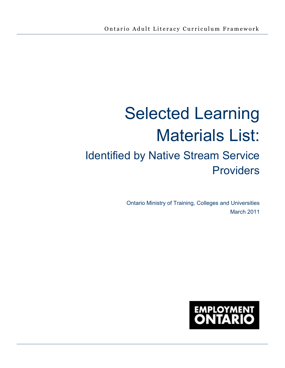# Selected Learning Materials List: Identified by Native Stream Service Providers

Ontario Ministry of Training, Colleges and Universities March 2011

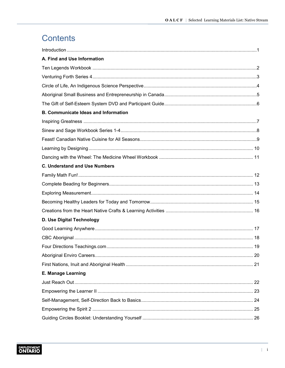# Contents

| A. Find and Use Information                 |  |
|---------------------------------------------|--|
|                                             |  |
|                                             |  |
|                                             |  |
|                                             |  |
|                                             |  |
| <b>B. Communicate Ideas and Information</b> |  |
|                                             |  |
|                                             |  |
|                                             |  |
|                                             |  |
|                                             |  |
| <b>C. Understand and Use Numbers</b>        |  |
|                                             |  |
|                                             |  |
|                                             |  |
|                                             |  |
|                                             |  |
| D. Use Digital Technology                   |  |
|                                             |  |
|                                             |  |
|                                             |  |
|                                             |  |
|                                             |  |
| E. Manage Learning                          |  |
|                                             |  |
|                                             |  |
|                                             |  |
|                                             |  |
|                                             |  |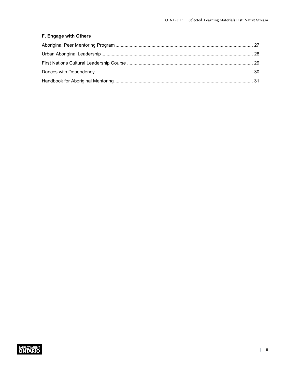### F. Engage with Others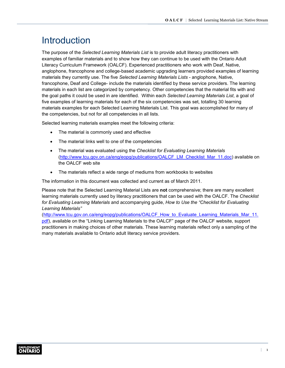# <span id="page-3-0"></span>**Introduction**

The purpose of the *Selected Learning Materials List* is to provide adult literacy practitioners with examples of familiar materials and to show how they can continue to be used with the Ontario Adult Literacy Curriculum Framework (OALCF). Experienced practitioners who work with Deaf, Native, anglophone, francophone and college-based academic upgrading learners provided examples of learning materials they currently use. The five *Selected Learning Materials Lists* - anglophone, Native, francophone, Deaf and College- include the materials identified by these service providers. The learning materials in each list are categorized by competency. Other competencies that the material fits with and the goal paths it could be used in are identified. Within each *Selected Learning Materials List*, a goal of five examples of learning materials for each of the six competencies was set, totalling 30 learning materials examples for each Selected Learning Materials List. This goal was accomplished for many of the competencies, but not for all competencies in all lists.

Selected learning materials examples meet the following criteria:

- The material is commonly used and effective
- The material links well to one of the competencies
- The material was evaluated using the *Checklist for Evaluating Learning Materials* ([http://www.tcu.gov.on.ca/eng/eopg/publications/OALCF\\_LM\\_Checklist\\_Mar\\_11.doc](http://www.tcu.gov.on.ca/eng/eopg/publications/OALCF_LM_Checklist_Mar_11.doc)) available on the OALCF web site
- The materials reflect a wide range of mediums from workbooks to websites

The information in this document was collected and current as of March 2011.

Please note that the Selected Learning Material Lists are **not** comprehensive; there are many excellent learning materials currently used by literacy practitioners that can be used with the OALCF. The *Checklist for Evaluating Learning Materials* and accompanying guide, *How to Use the "Checklist for Evaluating Learning Materials"*

[\(http://www.tcu.gov.on.ca/eng/eopg/publications/OALCF\\_How\\_to\\_Evaluate\\_Learning\\_Materials\\_Mar\\_11.](http://www.tcu.gov.on.ca/eng/eopg/publications/OALCF_How_to_Evaluate_Learning_Materials_Mar_11.pdf) pdf), available on the "Linking Learning Materials to the OALCF" page of the OALCF website, support practitioners in making choices of other materials. These learning materials reflect only a sampling of the many materials available to Ontario adult literacy service providers.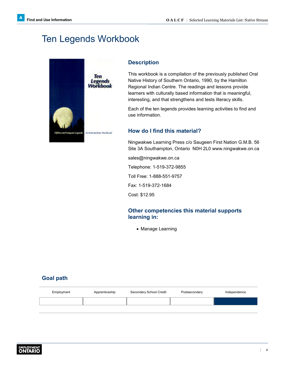### <span id="page-4-1"></span><span id="page-4-0"></span>Ten Legends Workbook



### **Description**

This workbook is a compilation of the previously published Oral Native History of Southern Ontario, 1990, by the Hamilton Regional Indian Centre. The readings and lessons provide learners with culturally based information that is meaningful, interesting, and that strengthens and tests literacy skills.

Each of the ten legends provides learning activities to find and use information.

### **How do I find this material?**

Ningwakwe Learning Press c/o Saugeen First Nation G.M.B. 56 Site 3A Southampton, OntarioN0H 2L0 [www.ningwakwe.on.ca](http://www.ningwakwe.on.ca)

[sales@ningwakwe.on.ca](mailto:sales@ningwakwe.on.ca) Telephone: 1-519-372-9855 Toll Free: 1-888-551-9757 Fax: 1-519-372-1684 Cost: \$12.95

### **Other competencies this material supports learning in:**

• Manage Learning

| Employment | Apprenticeship | Secondary School Credit | Postsecondary | Independence |
|------------|----------------|-------------------------|---------------|--------------|
|            |                |                         |               |              |
|            |                |                         |               |              |

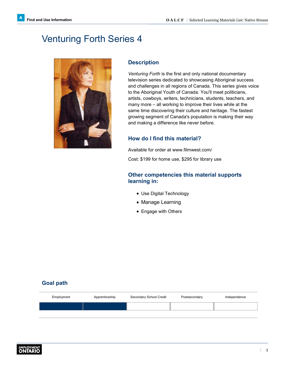### <span id="page-5-0"></span>Venturing Forth Series 4



### **Description**

*Venturing Forth* is the first and only national documentary television series dedicated to showcasing Aboriginal success and challenges in all regions of Canada. This series gives voice to the Aboriginal Youth of Canada. You'll meet politicians, artists, cowboys, writers, technicians, students, teachers, and many more – all working to improve their lives while at the same time discovering their culture and heritage. The fastest growing segment of Canada's population is making their way and making a difference like never before.

### **How do I find this material?**

Available for order at [www.filmwest.com/](http://www.filmwest.com/)

Cost: \$199 for home use, \$295 for library use

### **Other competencies this material supports learning in:**

- Use Digital Technology
- Manage Learning
- Engage with Others

| Employment | Apprenticeship | Secondary School Credit | Postsecondary | Independence |
|------------|----------------|-------------------------|---------------|--------------|
|            |                |                         |               |              |
|            |                |                         |               |              |

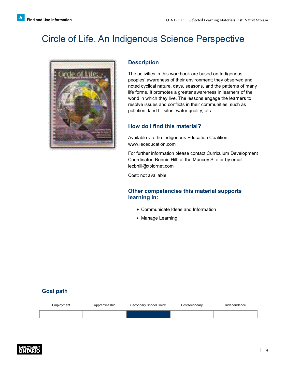# <span id="page-6-0"></span>Circle of Life, An Indigenous Science Perspective



### **Description**

The activities in this workbook are based on Indigenous peoples' awareness of their environment; they observed and noted cyclical nature, days, seasons, and the patterns of many life forms. It promotes a greater awareness in learners of the world in which they live. The lessons engage the learners to resolve issues and conflicts in their communities, such as pollution, land fill sites, water quality, etc.

### **How do I find this material?**

Available via the Indigenous Education Coalition [www.ieceducation.com](http://www.ieceducation.com)

For further information please contact Curriculum Development Coordinator, Bonnie Hill, at the Muncey Site or by email [iecbhill@xplornet.com](mailto:iecbhill@xplornet.com)

Cost: not available

### **Other competencies this material supports learning in:**

- Communicate Ideas and Information
- Manage Learning

| Employment | Apprenticeship | Secondary School Credit | Postsecondary | Independence |
|------------|----------------|-------------------------|---------------|--------------|
|            |                |                         |               |              |
|            |                |                         |               |              |

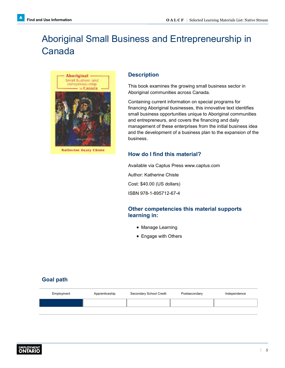# <span id="page-7-0"></span>Aboriginal Small Business and Entrepreneurship in Canada



**Katherine Beaty Chiste** 

#### **Description**

This book examines the growing small business sector in Aboriginal communities across Canada.

Containing current information on special programs for financing Aboriginal businesses, this innovative text identifies small business opportunities unique to Aboriginal communities and entrepreneurs, and covers the financing and daily management of these enterprises from the initial business idea and the development of a business plan to the expansion of the business.

### **How do I find this material?**

Available via Captus Press [www.captus.com](http://www.captus.com) Author: Katherine Chiste Cost: \$40.00 (US dollars) ISBN 978-1-895712-67-4

### **Other competencies this material supports learning in:**

- Manage Learning
- Engage with Others

| Employment | Apprenticeship | Secondary School Credit | Postsecondary | Independence |
|------------|----------------|-------------------------|---------------|--------------|
|            |                |                         |               |              |
|            |                |                         |               |              |

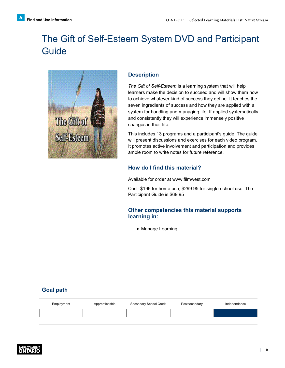# <span id="page-8-0"></span>The Gift of Self-Esteem System DVD and Participant **Guide**



### **Description**

*The Gift of Self-Esteem* is a learning system that will help learners make the decision to succeed and will show them how to achieve whatever kind of success they define. It teaches the seven ingredients of success and how they are applied with a system for handling and managing life. If applied systematically and consistently they will experience immensely positive changes in their life.

This includes 13 programs and a participant's guide. The guide will present discussions and exercises for each video program. It promotes active involvement and participation and provides ample room to write notes for future reference.

### **How do I find this material?**

Available for order at [www.filmwest.com](http://www.filmwest.com)

Cost: \$199 for home use, \$299.95 for single-school use. The Participant Guide is \$69.95

### **Other competencies this material supports learning in:**

• Manage Learning

| Employment | Apprenticeship | Secondary School Credit | Postsecondary | Independence |
|------------|----------------|-------------------------|---------------|--------------|
|            |                |                         |               |              |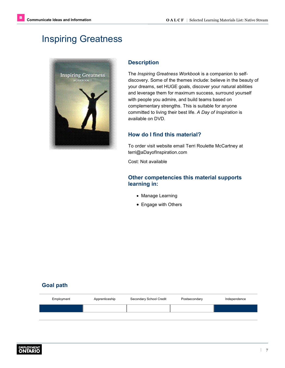# <span id="page-9-1"></span><span id="page-9-0"></span>Inspiring Greatness



### **Description**

The *Inspiring Greatness Workbook* is a companion to selfdiscovery. Some of the themes include: believe in the beauty of your dreams, set HUGE goals, discover your natural abilities and leverage them for maximum success, surround yourself with people you admire, and build teams based on complementary strengths. This is suitable for anyone committed to living their best life. *A Day of Inspiration* is available on DVD.

### **How do I find this material?**

To order visit website email Terri Roulette McCartney at [terri@aDayofInspiration.com](mailto:terri@aDayofInspiration.com)

Cost: Not available

### **Other competencies this material supports learning in:**

- Manage Learning
- Engage with Others

| Employment | Apprenticeship | Secondary School Credit | Postsecondary | Independence |
|------------|----------------|-------------------------|---------------|--------------|
|            |                |                         |               |              |
|            |                |                         |               |              |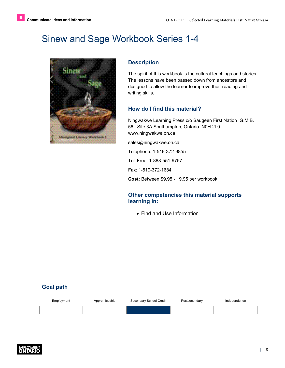# <span id="page-10-0"></span>Sinew and Sage Workbook Series 1-4



### **Description**

The spirit of this workbook is the cultural teachings and stories. The lessons have been passed down from ancestors and designed to allow the learner to improve their reading and writing skills.

### **How do I find this material?**

Ningwakwe Learning Press c/o Saugeen First NationG.M.B. 56 Site 3A Southampton, OntarioN0H 2L0 [www.ningwakwe.on.ca](http://www.ningwakwe.on.ca)

[sales@ningwakwe.on.ca](mailto:sales@ningwakwe.on.ca)

Telephone: 1-519-372-9855

Toll Free: 1-888-551-9757

Fax: 1-519-372-1684

**Cost:** Between \$9.95 - 19.95 per workbook

### **Other competencies this material supports learning in:**

• Find and Use Information

| Employment | Apprenticeship | Secondary School Credit | Postsecondary | Independence |
|------------|----------------|-------------------------|---------------|--------------|
|            |                |                         |               |              |
|            |                |                         |               |              |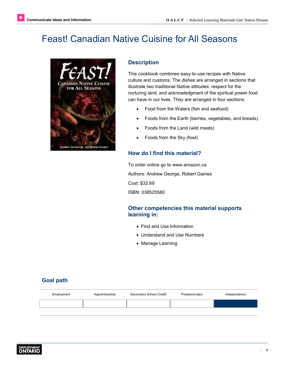# <span id="page-11-0"></span>Feast! Canadian Native Cuisine for All Seasons



### **Description**

This cookbook combines easy-to-use recipes with Native culture and customs. The dishes are arranged in sections that illustrate two traditional Native attitudes: respect for the nurturing land, and acknowledgment of the spiritual power food can have in our lives. They are arranged in four sections:

- Food from the Waters (fish and seafood)
- Foods from the Earth (berries, vegetables, and breads)
- Foods from the Land (wild meats)
- Foods from the Sky (fowl)

### **How do I find this material?**

To order online go to [www.amazon.ca](http://www.amazon.ca) Authors: Andrew George, Robert Gaines Cost: \$32.69 ISBN: 038525580

### **Other competencies this material supports learning in:**

- Find and Use Information
- Understand and Use Numbers
- Manage Learning

| Employment | Apprenticeship | Secondary School Credit | Postsecondary | Independence |
|------------|----------------|-------------------------|---------------|--------------|
|            |                |                         |               |              |
|            |                |                         |               |              |

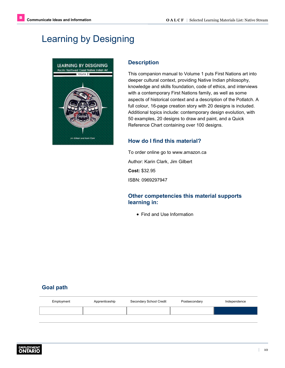# <span id="page-12-0"></span>Learning by Designing



### **Description**

This companion manual to Volume 1 puts First Nations art into deeper cultural context, providing Native Indian philosophy, knowledge and skills foundation, code of ethics, and interviews with a contemporary First Nations family, as well as some aspects of historical context and a description of the Potlatch. A full colour, 16-page creation story with 20 designs is included. Additional topics include: contemporary design evolution, with 50 examples, 20 designs to draw and paint, and a Quick Reference Chart containing over 100 designs.

### **How do I find this material?**

To order online go to [www.amazon.ca](http://www.amazon.ca) Author: Karin Clark, Jim Gilbert **Cost:** \$32.95 ISBN: 0969297947

### **Other competencies this material supports learning in:**

• Find and Use Information

| Employment | Apprenticeship | Secondary School Credit | Postsecondary | Independence |
|------------|----------------|-------------------------|---------------|--------------|
|            |                |                         |               |              |
|            |                |                         |               |              |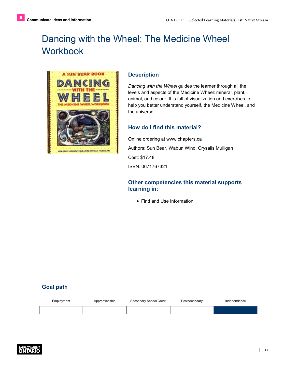# <span id="page-13-0"></span>Dancing with the Wheel: The Medicine Wheel **Workbook**



### **Description**

*Dancing with the Wheel* guides the learner through all the levels and aspects of the Medicine Wheel: mineral, plant, animal, and colour. It is full of visualization and exercises to help you better understand yourself, the Medicine Wheel, and the universe.

### **How do I find this material?**

Online ordering at [www.chapters.ca](http://www.chapters.ca) Authors: Sun Bear, Wabun Wind, Crysalis Mulligan Cost: \$17.48 ISBN: 0671767321

### **Other competencies this material supports learning in:**

• Find and Use Information

| Employment | Apprenticeship | Secondary School Credit | Postsecondary | Independence |
|------------|----------------|-------------------------|---------------|--------------|
|            |                |                         |               |              |
|            |                |                         |               |              |

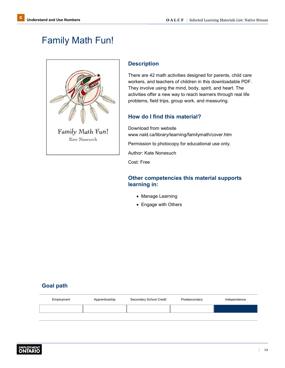# <span id="page-14-1"></span><span id="page-14-0"></span>Family Math Fun!



### **Description**

There are 42 math activities designed for parents, child care workers, and teachers of children in this downloadable PDF. They involve using the mind, body, spirit, and heart. The activities offer a new way to reach learners through real life problems, field trips, group work, and measuring.

### **How do I find this material?**

Download from website [www.nald.ca/library/learning/familymath/cover.htm](http://www.nald.ca/library/learning/familymath/cover.htm) Permission to photocopy for educational use only. Author: Kate Nonesuch Cost: Free

### **Other competencies this material supports learning in:**

- Manage Learning
- Engage with Others

| Employment | Apprenticeship | Secondary School Credit | Postsecondary | Independence |
|------------|----------------|-------------------------|---------------|--------------|
|            |                |                         |               |              |
|            |                |                         |               |              |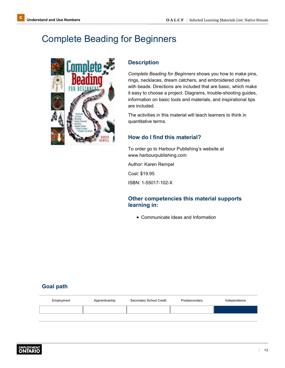# <span id="page-15-0"></span>Complete Beading for Beginners



### **Description**

*Complete Beading for Beginners* shows you how to make pins, rings, necklaces, dream catchers, and embroidered clothes with beads. Directions are included that are basic, which make it easy to choose a project. Diagrams, trouble-shooting guides, information on basic tools and materials, and inspirational tips are included.

The activities in this material will teach learners to think in quantitative terms.

### **How do I find this material?**

To order go to Harbour Publishing's website at [www.harbourpublishing.com](http://www.harbourpublishing.com)

Author: Karen Rempel

Cost: \$19.95

ISBN: 1-55017-102-X

### **Other competencies this material supports learning in:**

• Communicate Ideas and Information

| Employment | Apprenticeship | Secondary School Credit | Postsecondary | Independence |
|------------|----------------|-------------------------|---------------|--------------|
|            |                |                         |               |              |
|            |                |                         |               |              |

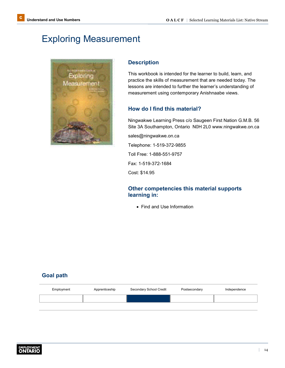# <span id="page-16-0"></span>Exploring Measurement



### **Description**

This workbook is intended for the learner to build, learn, and practice the skills of measurement that are needed today. The lessons are intended to further the learner's understanding of measurement using contemporary Anishnaabe views.

### **How do I find this material?**

Ningwakwe Learning Press c/o Saugeen First Nation G.M.B. 56 Site 3A Southampton, OntarioN0H 2L0 [www.ningwakwe.on.ca](http://www.ningwakwe.on.ca)

[sales@ningwakwe.on.ca](mailto:sales@ningwakwe.on.ca)

Telephone: 1-519-372-9855

Toll Free: 1-888-551-9757

Fax: 1-519-372-1684

Cost: \$14.95

### **Other competencies this material supports learning in:**

• Find and Use Information

| Employment | Apprenticeship | Secondary School Credit | Postsecondary | Independence |
|------------|----------------|-------------------------|---------------|--------------|
|            |                |                         |               |              |
|            |                |                         |               |              |

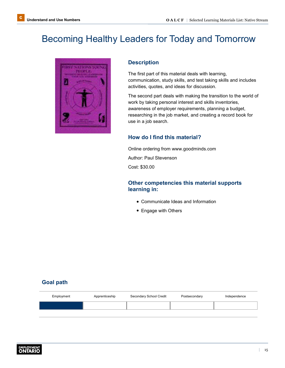# <span id="page-17-0"></span>Becoming Healthy Leaders for Today and Tomorrow



### **Description**

The first part of this material deals with learning, communication, study skills, and test taking skills and includes activities, quotes, and ideas for discussion.

The second part deals with making the transition to the world of work by taking personal interest and skills inventories, awareness of employer requirements, planning a budget, researching in the job market, and creating a record book for use in a job search.

### **How do I find this material?**

Online ordering from [www.goodminds.com](http://www.goodminds.com)

Author: Paul Stevenson

Cost: \$30.00

### **Other competencies this material supports learning in:**

- Communicate Ideas and Information
- Engage with Others

| Employment | Apprenticeship | Secondary School Credit | Postsecondary | Independence |
|------------|----------------|-------------------------|---------------|--------------|
|            |                |                         |               |              |
|            |                |                         |               |              |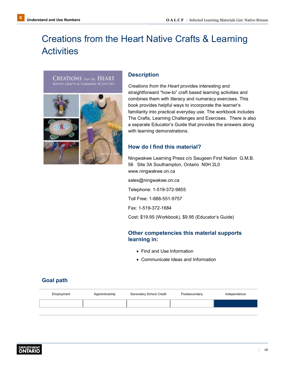# <span id="page-18-0"></span>Creations from the Heart Native Crafts & Learning **Activities**



### **Description**

*Creations from the Heart* provides interesting and straightforward "how-to" craft based learning activities and combines them with literacy and numeracy exercises. This book provides helpful ways to incorporate the learner's familiarity into practical everyday use. The workbook includes The Crafts, Learning Challenges and Exercises. There is also a separate Educator's Guide that provides the answers along with learning demonstrations.

### **How do I find this material?**

Ningwakwe Learning Press c/o Saugeen First NationG.M.B. 56 Site 3A Southampton, OntarioN0H 2L0 [www.ningwakwe.on.ca](http://www.ningwakwe.on.ca) [sales@ningwakwe.on.ca](mailto:sales@ningwakwe.on.ca) Telephone: 1-519-372-9855 Toll Free: 1-888-551-9757 Fax: 1-519-372-1684 Cost: \$19.95 (Workbook), \$9.95 (Educator's Guide)

### **Other competencies this material supports learning in:**

- Find and Use Information
- Communicate Ideas and Information

| Employment | Apprenticeship | Secondary School Credit | Postsecondary | Independence |
|------------|----------------|-------------------------|---------------|--------------|
|            |                |                         |               |              |
|            |                |                         |               |              |

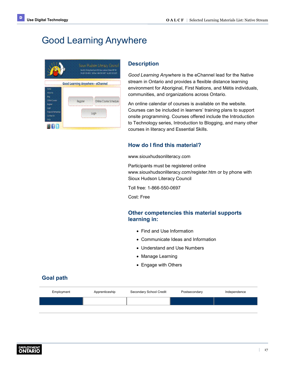### <span id="page-19-1"></span><span id="page-19-0"></span>Good Learning Anywhere

|                                                                                                                             | Sioux Hudson Literacy Council<br>for \$20.00 king their faces \$25.000 and column Chinese #51.92<br>A 67-26-622 Sales Lew British Facility 22-220 |
|-----------------------------------------------------------------------------------------------------------------------------|---------------------------------------------------------------------------------------------------------------------------------------------------|
|                                                                                                                             | Good Learning Anywhere - eChannel                                                                                                                 |
| men<br>Abdull (6)<br>Soc.<br>Orien Couse<br>Ricolor<br><b>Logic</b><br><b><i><u>RIMARMARIN</u></i></b><br>Contract &<br>HQ. | Online Course Schedul<br><b>Login</b>                                                                                                             |

#### **Description**

*Good Learning Anywhere* is the eChannel lead for the Native stream in Ontario and provides a flexible distance learning environment for Aboriginal, First Nations, and Métis individuals, communities, and organizations across Ontario.

An online calendar of courses is available on the website. Courses can be included in learners' training plans to support onsite programming. Courses offered include the Introduction to Technology series, Introduction to Blogging, and many other courses in literacy and Essential Skills.

### **How do I find this material?**

[www.siouxhudsonliteracy.com](http://www.siouxhudsonliteracy.com)

Participants must be registered online [www.siouxhudsonliteracy.com/register.htm](http://www.siouxhudsonliteracy.com/register.htm) or by phone with Sioux Hudson Literacy Council

Toll free: 1-866-550-0697

Cost: Free

### **Other competencies this material supports learning in:**

- Find and Use Information
- Communicate Ideas and Information
- Understand and Use Numbers
- Manage Learning
- Engage with Others

| Employment | Apprenticeship | Secondary School Credit | Postsecondary | Independence |
|------------|----------------|-------------------------|---------------|--------------|
|            |                |                         |               |              |
|            |                |                         |               |              |

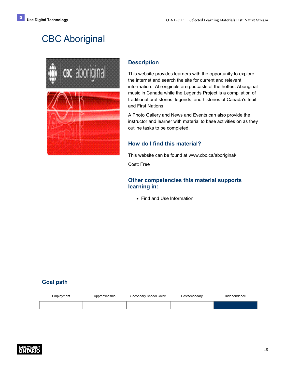# <span id="page-20-0"></span>CBC Aboriginal



### **Description**

This website provides learners with the opportunity to explore the internet and search the site for current and relevant information. Ab-originals are podcasts of the hottest Aboriginal music in Canada while the Legends Project is a compilation of traditional oral stories, legends, and histories of Canada's Inuit and First Nations.

A Photo Gallery and News and Events can also provide the instructor and learner with material to base activities on as they outline tasks to be completed.

### **How do I find this material?**

This website can be found at [www.cbc.ca/aboriginal/](http://www.cbc.ca/aboriginal/)

Cost: Free

### **Other competencies this material supports learning in:**

• Find and Use Information

| Employment | Apprenticeship | Secondary School Credit | Postsecondary | Independence |
|------------|----------------|-------------------------|---------------|--------------|
|            |                |                         |               |              |
|            |                |                         |               |              |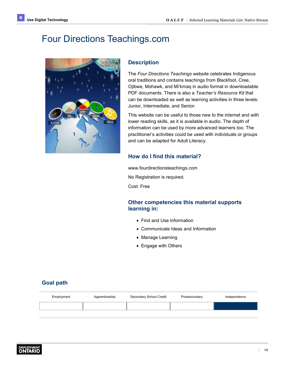### <span id="page-21-0"></span>[Four Directions Teachings.com](http://FourDirectionsTeachings.com)



### **Description**

The *Four Directions Teachings* website celebrates Indigenous oral traditions and contains teachings from Blackfoot, Cree, Ojibwe, Mohawk, and Mi'kmaq in audio format in downloadable PDF documents. There is also a *Teacher's Resource Kit* that can be downloaded as well as learning activities in three levels: Junior, Intermediate, and Senior.

This website can be useful to those new to the internet and with lower reading skills, as it is available in audio. The depth of information can be used by more advanced learners too. The practitioner's activities could be used with individuals or groups and can be adapted for Adult Literacy.

### **How do I find this material?**

[www.fourdirectionsteachings.com](http://www.fourdirectionsteachings.com)

No Registration is required.

Cost: Free

### **Other competencies this material supports learning in:**

- Find and Use Information
- Communicate Ideas and Information
- Manage Learning
- Engage with Others

| Employment | Apprenticeship | Secondary School Credit | Postsecondary | Independence |
|------------|----------------|-------------------------|---------------|--------------|
|            |                |                         |               |              |
|            |                |                         |               |              |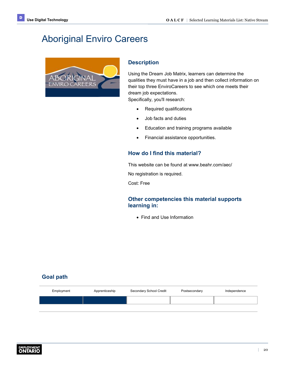# <span id="page-22-0"></span>Aboriginal Enviro Careers



### **Description**

Using the Dream Job Matrix, learners can determine the qualities they must have in a job and then collect information on their top three EnviroCareers to see which one meets their dream job expectations. Specifically, you'll research:

- Required qualifications
- Job facts and duties
- Education and training programs available
- Financial assistance opportunities.

### **How do I find this material?**

This website can be found at [www.beahr.com/aec/](http://www.beahr.com/aec/)

No registration is required.

Cost: Free

### **Other competencies this material supports learning in:**

• Find and Use Information

| Employment | Apprenticeship | Secondary School Credit | Postsecondary | Independence |
|------------|----------------|-------------------------|---------------|--------------|
|            |                |                         |               |              |
|            |                |                         |               |              |

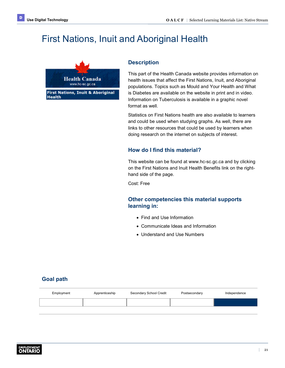**Health** 

# <span id="page-23-0"></span>First Nations, Inuit and Aboriginal Health



#### **Description**

This part of the Health Canada website provides information on health issues that affect the First Nations, Inuit, and Aboriginal populations. Topics such as Mould and Your Health and What is Diabetes are available on the website in print and in video. Information on Tuberculosis is available in a graphic novel format as well.

Statistics on First Nations health are also available to learners and could be used when studying graphs. As well, there are links to other resources that could be used by learners when doing research on the internet on subjects of interest.

#### **How do I find this material?**

This website can be found at [www.hc-sc.gc.ca](http://www.hc-sc.gc.ca) and by clicking on the First Nations and Inuit Health Benefits link on the righthand side of the page.

Cost: Free

### **Other competencies this material supports learning in:**

- Find and Use Information
- Communicate Ideas and Information
- Understand and Use Numbers

| Employment | Apprenticeship | Secondary School Credit | Postsecondary | Independence |
|------------|----------------|-------------------------|---------------|--------------|
|            |                |                         |               |              |

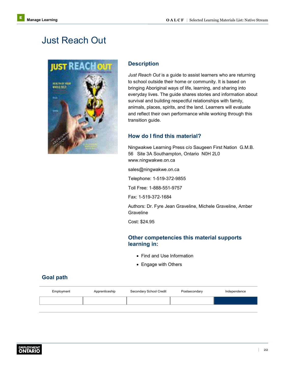### <span id="page-24-1"></span><span id="page-24-0"></span>Just Reach Out



### **Description**

*Just Reach Out* is a guide to assist learners who are returning to school outside their home or community. It is based on bringing Aboriginal ways of life, learning, and sharing into everyday lives. The guide shares stories and information about survival and building respectful relationships with family, animals, places, spirits, and the land. Learners will evaluate and reflect their own performance while working through this transition guide.

### **How do I find this material?**

Ningwakwe Learning Press c/o Saugeen First NationG.M.B. 56 Site 3A Southampton, OntarioN0H 2L0 [www.ningwakwe.on.ca](http://www.ningwakwe.on.ca)

[sales@ningwakwe.on.ca](mailto:sales@ningwakwe.on.ca)

Telephone: 1-519-372-9855

Toll Free: 1-888-551-9757

Fax: 1-519-372-1684

Authors: Dr. Fyre Jean Graveline, Michele Graveline, Amber Graveline

Cost: \$24.95

### **Other competencies this material supports learning in:**

- Find and Use Information
- Engage with Others

| Employment | Apprenticeship | Secondary School Credit | Postsecondary | Independence |
|------------|----------------|-------------------------|---------------|--------------|
|            |                |                         |               |              |
|            |                |                         |               |              |

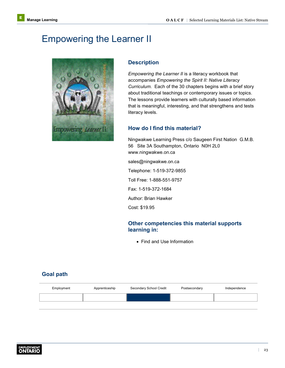### <span id="page-25-0"></span>Empowering the Learner II



### **Description**

*Empowering the Learner II* is a literacy workbook that accompanies *Empowering the Spirit II: Native Literacy Curriculum*. Each of the 30 chapters begins with a brief story about traditional teachings or contemporary issues or topics. The lessons provide learners with culturally based information that is meaningful, interesting, and that strengthens and tests literacy levels.

### **How do I find this material?**

Ningwakwe Learning Press c/o Saugeen First NationG.M.B. 56 Site 3A Southampton, OntarioN0H 2L0 [www.ningwakwe.on.ca](http://www.ningwakwe.on.ca) [sales@ningwakwe.on.ca](mailto:sales@ningwakwe.on.ca) Telephone: 1-519-372-9855 Toll Free: 1-888-551-9757 Fax: 1-519-372-1684 Author: Brian Hawker Cost: \$19.95

### **Other competencies this material supports learning in:**

• Find and Use Information

| Employment | Apprenticeship | Secondary School Credit | Postsecondary | Independence |
|------------|----------------|-------------------------|---------------|--------------|
|            |                |                         |               |              |
|            |                |                         |               |              |

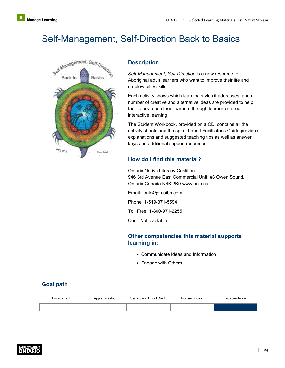# <span id="page-26-0"></span>Self-Management, Self-Direction Back to Basics



#### **Description**

*Self-Management, Self-Direction* is a new resource for Aboriginal adult learners who want to improve their life and employability skills.

Each activity shows which learning styles it addresses, and a number of creative and alternative ideas are provided to help facilitators reach their learners through learner-centred, interactive learning.

The Student Workbook, provided on a CD, contains all the activity sheets and the spiral-bound Facilitator's Guide provides explanations and suggested teaching tips as well as answer keys and additional support resources.

### **How do I find this material?**

Ontario Native Literacy Coalition 946 3rd Avenue East Commercial Unit: #3 Owen Sound, Ontario Canada N4K 2K9 [www.onlc.ca](http://www.onlc.ca) Email: [onlc@on.aibn.com](mailto:onlc@on.aibn.com)

Phone: 1-519-371-5594

Toll Free: 1-800-971-2255

Cost: Not available

### **Other competencies this material supports learning in:**

- Communicate Ideas and Information
- Engage with Others

| Employment | Apprenticeship | Secondary School Credit | Postsecondary | Independence |
|------------|----------------|-------------------------|---------------|--------------|
|            |                |                         |               |              |
|            |                |                         |               |              |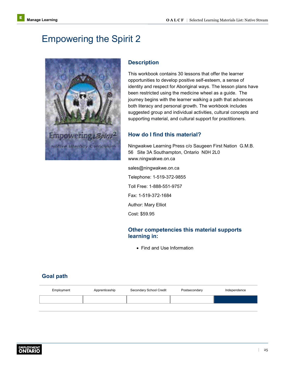### <span id="page-27-0"></span>Empowering the Spirit 2



### **Description**

This workbook contains 30 lessons that offer the learner opportunities to develop positive self-esteem, a sense of identity and respect for Aboriginal ways. The lesson plans have been restricted using the medicine wheel as a guide. The journey begins with the learner walking a path that advances both literacy and personal growth. The workbook includes suggested group and individual activities, cultural concepts and supporting material, and cultural support for practitioners.

### **How do I find this material?**

Ningwakwe Learning Press c/o Saugeen First NationG.M.B. 56 Site 3A Southampton, OntarioN0H 2L0 [www.ningwakwe.on.ca](http://www.ningwakwe.on.ca)

[sales@ningwakwe.on.ca](mailto:sales@ningwakwe.on.ca) Telephone: 1-519-372-9855 Toll Free: 1-888-551-9757 Fax: 1-519-372-1684 Author: Mary Elliot Cost: \$59.95

### **Other competencies this material supports learning in:**

• Find and Use Information

| Employment | Apprenticeship | Secondary School Credit | Postsecondary | Independence |
|------------|----------------|-------------------------|---------------|--------------|
|            |                |                         |               |              |
|            |                |                         |               |              |

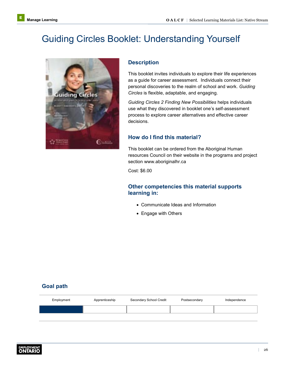# <span id="page-28-0"></span>Guiding Circles Booklet: Understanding Yourself



#### **Description**

This booklet invites individuals to explore their life experiences as a guide for career assessment. Individuals connect their personal discoveries to the realm of school and work. *Guiding Circles* is flexible, adaptable, and engaging.

*Guiding Circles 2 Finding New Possibilities* helps individuals use what they discovered in booklet one's self-assessment process to explore career alternatives and effective career decisions.

#### **How do I find this material?**

This booklet can be ordered from the Aboriginal Human resources Council on their website in the programs and project section [www.aboriginalhr.ca](http://www.aboriginalhr.ca)

Cost: \$6.00

#### **Other competencies this material supports learning in:**

- Communicate Ideas and Information
- Engage with Others

| Employment | Apprenticeship | Secondary School Credit | Postsecondary | Independence |
|------------|----------------|-------------------------|---------------|--------------|
|            |                |                         |               |              |
|            |                |                         |               |              |

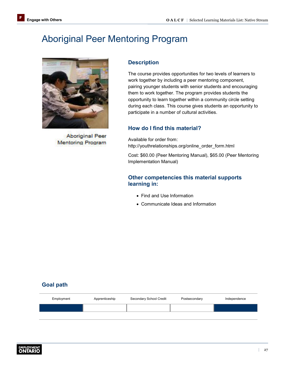# <span id="page-29-1"></span><span id="page-29-0"></span>Aboriginal Peer Mentoring Program



**Aboriginal Peer Mentoring Program** 

### **Description**

The course provides opportunities for two levels of learners to work together by including a peer mentoring component, pairing younger students with senior students and encouraging them to work together. The program provides students the opportunity to learn together within a community circle setting during each class. This course gives students an opportunity to participate in a number of cultural activities.

### **How do I find this material?**

Available for order from: [http://youthrelationships.org/online\\_order\\_form.html](http://youthrelationships.org/online_order_form.html)

Cost: \$60.00 (Peer Mentoring Manual), \$65.00 (Peer Mentoring Implementation Manual)

### **Other competencies this material supports learning in:**

- Find and Use Information
- Communicate Ideas and Information

| Employment | Apprenticeship | Secondary School Credit | Postsecondary | Independence |
|------------|----------------|-------------------------|---------------|--------------|
|            |                |                         |               |              |
|            |                |                         |               |              |

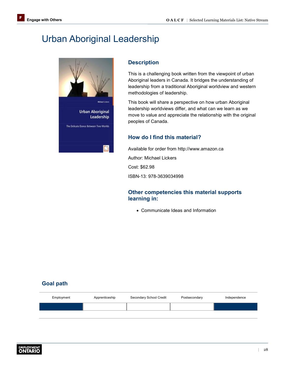### <span id="page-30-0"></span>Urban Aboriginal Leadership



### **Description**

This is a challenging book written from the viewpoint of urban Aboriginal leaders in Canada. It bridges the understanding of leadership from a traditional Aboriginal worldview and western methodologies of leadership.

This book will share a perspective on how urban Aboriginal leadership worldviews differ, and what can we learn as we move to value and appreciate the relationship with the original peoples of Canada.

### **How do I find this material?**

Available for order from<http://www.amazon.ca>

Author: Michael Lickers

Cost: \$62.98

ISBN-13: 978-3639034998

### **Other competencies this material supports learning in:**

• Communicate Ideas and Information

| Employment | Apprenticeship | Secondary School Credit | Postsecondary | Independence |
|------------|----------------|-------------------------|---------------|--------------|
|            |                |                         |               |              |
|            |                |                         |               |              |

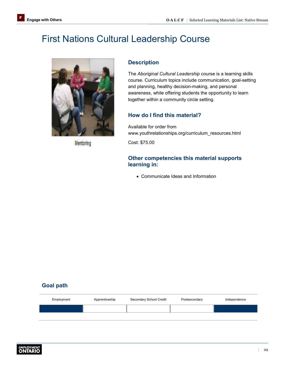# <span id="page-31-0"></span>First Nations Cultural Leadership Course



Mentoring

### **Description**

The *Aboriginal Cultural Leadership* course is a learning skills course. Curriculum topics include communication, goal-setting and planning, healthy decision-making, and personal awareness, while offering students the opportunity to learn together within a community circle setting.

### **How do I find this material?**

Available for order from [www.youthrelationships.org/curriculum\\_resources.html](www.youthrelationships.org/curriculum_resources.html)

Cost: \$75.00

### **Other competencies this material supports learning in:**

• Communicate Ideas and Information

| Employment | Apprenticeship | Secondary School Credit | Postsecondary | Independence |
|------------|----------------|-------------------------|---------------|--------------|
|            |                |                         |               |              |
|            |                |                         |               |              |

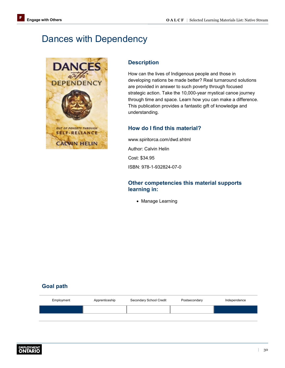### <span id="page-32-0"></span>Dances with Dependency



### **Description**

How can the lives of Indigenous people and those in developing nations be made better? Real turnaround solutions are provided in answer to such poverty through focused strategic action. Take the 10,000-year mystical canoe journey through time and space. Learn how you can make a difference. This publication provides a fantastic gift of knowledge and understanding.

### **How do I find this material?**

[www.spiritorca.com/dwd.shtml](http://www.spiritorca.com/dwd.shtml) Author: Calvin Helin Cost: \$34.95 ISBN: 978-1-932824-07-0

### **Other competencies this material supports learning in:**

• Manage Learning

| Employment | Apprenticeship | Secondary School Credit | Postsecondary | Independence |
|------------|----------------|-------------------------|---------------|--------------|
|            |                |                         |               |              |
|            |                |                         |               |              |